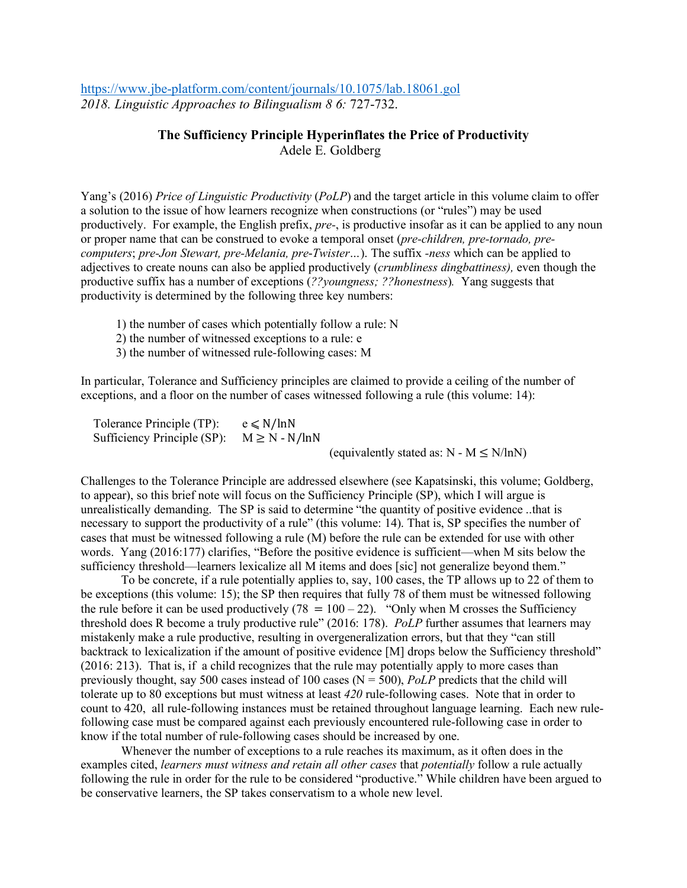https://www.jbe-platform.com/content/journals/10.1075/lab.18061.gol *2018. Linguistic Approaches to Bilingualism 8 6:* 727-732.

## **The Sufficiency Principle Hyperinflates the Price of Productivity** Adele E. Goldberg

Yang's (2016) *Price of Linguistic Productivity* (*PoLP*) and the target article in this volume claim to offer a solution to the issue of how learners recognize when constructions (or "rules") may be used productively. For example, the English prefix, *pre-*, is productive insofar as it can be applied to any noun or proper name that can be construed to evoke a temporal onset (*pre-children, pre-tornado, precomputers*; *pre-Jon Stewart, pre-Melania, pre*-*Twister…*). The suffix *-ness* which can be applied to adjectives to create nouns can also be applied productively (*crumbliness dingbattiness),* even though the productive suffix has a number of exceptions (*??youngness; ??honestness*)*.* Yang suggests that productivity is determined by the following three key numbers:

- 1) the number of cases which potentially follow a rule: N
- 2) the number of witnessed exceptions to a rule: e
- 3) the number of witnessed rule-following cases: M

In particular, Tolerance and Sufficiency principles are claimed to provide a ceiling of the number of exceptions, and a floor on the number of cases witnessed following a rule (this volume: 14):

Tolerance Principle (TP):  $e \le N / lnN$ Sufficiency Principle (SP):  $M \ge N - N / lnN$ (equivalently stated as:  $N - M \leq N / ln N$ )

Challenges to the Tolerance Principle are addressed elsewhere (see Kapatsinski, this volume; Goldberg, to appear), so this brief note will focus on the Sufficiency Principle (SP), which I will argue is unrealistically demanding. The SP is said to determine "the quantity of positive evidence ..that is necessary to support the productivity of a rule" (this volume: 14). That is, SP specifies the number of cases that must be witnessed following a rule (M) before the rule can be extended for use with other words. Yang (2016:177) clarifies, "Before the positive evidence is sufficient—when M sits below the sufficiency threshold—learners lexicalize all M items and does [sic] not generalize beyond them."

To be concrete, if a rule potentially applies to, say, 100 cases, the TP allows up to 22 of them to be exceptions (this volume: 15); the SP then requires that fully 78 of them must be witnessed following the rule before it can be used productively (78 =  $100 - 22$ ). "Only when M crosses the Sufficiency threshold does R become a truly productive rule" (2016: 178). *PoLP* further assumes that learners may mistakenly make a rule productive, resulting in overgeneralization errors, but that they "can still backtrack to lexicalization if the amount of positive evidence [M] drops below the Sufficiency threshold" (2016: 213). That is, if a child recognizes that the rule may potentially apply to more cases than previously thought, say 500 cases instead of 100 cases ( $N = 500$ ), *PoLP* predicts that the child will tolerate up to 80 exceptions but must witness at least *420* rule-following cases. Note that in order to count to 420, all rule-following instances must be retained throughout language learning. Each new rulefollowing case must be compared against each previously encountered rule-following case in order to know if the total number of rule-following cases should be increased by one.

Whenever the number of exceptions to a rule reaches its maximum, as it often does in the examples cited, *learners must witness and retain all other cases* that *potentially* follow a rule actually following the rule in order for the rule to be considered "productive." While children have been argued to be conservative learners, the SP takes conservatism to a whole new level.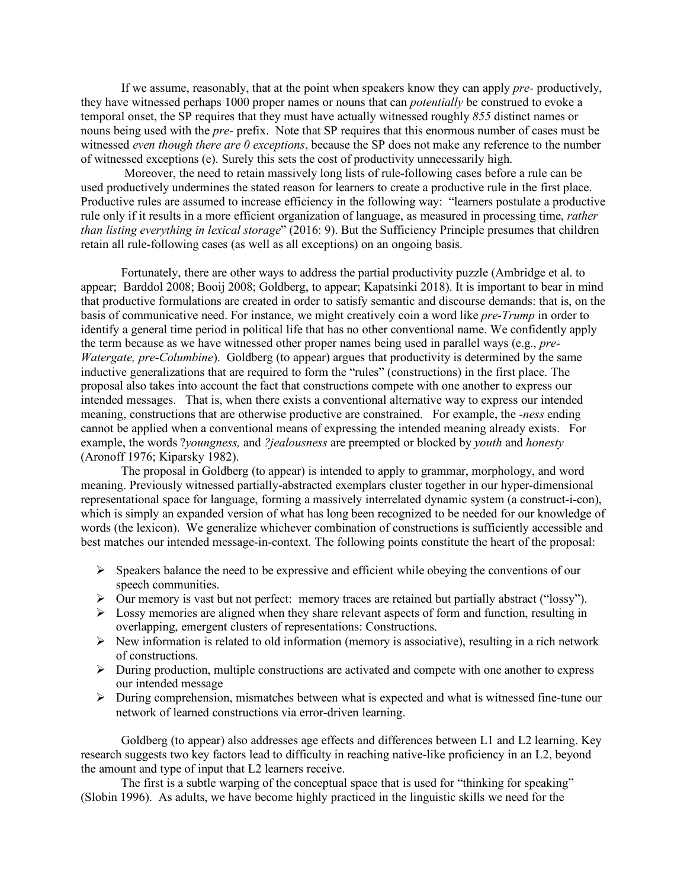If we assume, reasonably, that at the point when speakers know they can apply *pre-* productively, they have witnessed perhaps 1000 proper names or nouns that can *potentially* be construed to evoke a temporal onset, the SP requires that they must have actually witnessed roughly *855* distinct names or nouns being used with the *pre-* prefix. Note that SP requires that this enormous number of cases must be witnessed *even though there are 0 exceptions*, because the SP does not make any reference to the number of witnessed exceptions (e). Surely this sets the cost of productivity unnecessarily high.

Moreover, the need to retain massively long lists of rule-following cases before a rule can be used productively undermines the stated reason for learners to create a productive rule in the first place. Productive rules are assumed to increase efficiency in the following way: "learners postulate a productive rule only if it results in a more efficient organization of language, as measured in processing time, *rather than listing everything in lexical storage*" (2016: 9). But the Sufficiency Principle presumes that children retain all rule-following cases (as well as all exceptions) on an ongoing basis.

Fortunately, there are other ways to address the partial productivity puzzle (Ambridge et al. to appear; Barddol 2008; Booij 2008; Goldberg, to appear; Kapatsinki 2018). It is important to bear in mind that productive formulations are created in order to satisfy semantic and discourse demands: that is, on the basis of communicative need. For instance, we might creatively coin a word like *pre-Trump* in order to identify a general time period in political life that has no other conventional name. We confidently apply the term because as we have witnessed other proper names being used in parallel ways (e.g., *pre-Watergate, pre-Columbine*). Goldberg (to appear) argues that productivity is determined by the same inductive generalizations that are required to form the "rules" (constructions) in the first place. The proposal also takes into account the fact that constructions compete with one another to express our intended messages. That is, when there exists a conventional alternative way to express our intended meaning, constructions that are otherwise productive are constrained. For example, the *-ness* ending cannot be applied when a conventional means of expressing the intended meaning already exists. For example, the words ?*youngness,* and *?jealousness* are preempted or blocked by *youth* and *honesty* (Aronoff 1976; Kiparsky 1982).

The proposal in Goldberg (to appear) is intended to apply to grammar, morphology, and word meaning. Previously witnessed partially-abstracted exemplars cluster together in our hyper-dimensional representational space for language, forming a massively interrelated dynamic system (a construct-i-con), which is simply an expanded version of what has long been recognized to be needed for our knowledge of words (the lexicon). We generalize whichever combination of constructions is sufficiently accessible and best matches our intended message-in-context. The following points constitute the heart of the proposal:

- $\triangleright$  Speakers balance the need to be expressive and efficient while obeying the conventions of our speech communities.
- $\triangleright$  Our memory is vast but not perfect: memory traces are retained but partially abstract ("lossy").
- $\triangleright$  Lossy memories are aligned when they share relevant aspects of form and function, resulting in overlapping, emergent clusters of representations: Constructions.
- $\triangleright$  New information is related to old information (memory is associative), resulting in a rich network of constructions.
- $\triangleright$  During production, multiple constructions are activated and compete with one another to express our intended message
- $\triangleright$  During comprehension, mismatches between what is expected and what is witnessed fine-tune our network of learned constructions via error-driven learning.

Goldberg (to appear) also addresses age effects and differences between L1 and L2 learning. Key research suggests two key factors lead to difficulty in reaching native-like proficiency in an L2, beyond the amount and type of input that L2 learners receive.

The first is a subtle warping of the conceptual space that is used for "thinking for speaking" (Slobin 1996). As adults, we have become highly practiced in the linguistic skills we need for the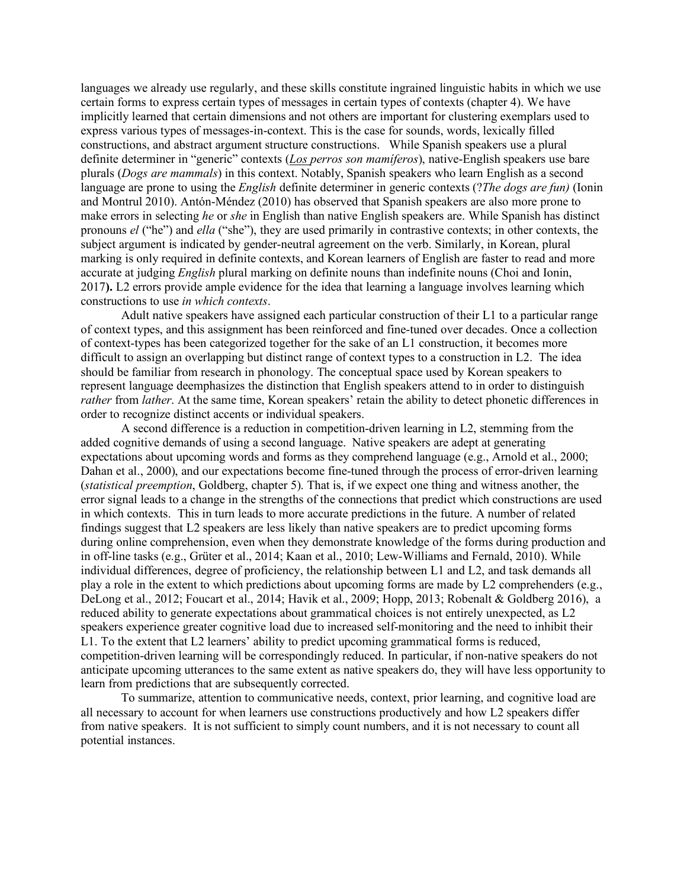languages we already use regularly, and these skills constitute ingrained linguistic habits in which we use certain forms to express certain types of messages in certain types of contexts (chapter 4). We have implicitly learned that certain dimensions and not others are important for clustering exemplars used to express various types of messages-in-context. This is the case for sounds, words, lexically filled constructions, and abstract argument structure constructions. While Spanish speakers use a plural definite determiner in "generic" contexts (*Los perros son mamíferos*), native-English speakers use bare plurals (*Dogs are mammals*) in this context. Notably, Spanish speakers who learn English as a second language are prone to using the *English* definite determiner in generic contexts (?*The dogs are fun)* (Ionin and Montrul 2010). Antón-Méndez (2010) has observed that Spanish speakers are also more prone to make errors in selecting *he* or *she* in English than native English speakers are. While Spanish has distinct pronouns *el* ("he") and *ella* ("she"), they are used primarily in contrastive contexts; in other contexts, the subject argument is indicated by gender-neutral agreement on the verb. Similarly, in Korean, plural marking is only required in definite contexts, and Korean learners of English are faster to read and more accurate at judging *English* plural marking on definite nouns than indefinite nouns (Choi and Ionin, 2017**).** L2 errors provide ample evidence for the idea that learning a language involves learning which constructions to use *in which contexts*.

Adult native speakers have assigned each particular construction of their L1 to a particular range of context types, and this assignment has been reinforced and fine-tuned over decades. Once a collection of context-types has been categorized together for the sake of an L1 construction, it becomes more difficult to assign an overlapping but distinct range of context types to a construction in L2. The idea should be familiar from research in phonology. The conceptual space used by Korean speakers to represent language deemphasizes the distinction that English speakers attend to in order to distinguish *rather* from *lather*. At the same time, Korean speakers' retain the ability to detect phonetic differences in order to recognize distinct accents or individual speakers.

A second difference is a reduction in competition-driven learning in L2, stemming from the added cognitive demands of using a second language. Native speakers are adept at generating expectations about upcoming words and forms as they comprehend language (e.g., Arnold et al., 2000; Dahan et al., 2000), and our expectations become fine-tuned through the process of error-driven learning (*statistical preemption*, Goldberg, chapter 5). That is, if we expect one thing and witness another, the error signal leads to a change in the strengths of the connections that predict which constructions are used in which contexts. This in turn leads to more accurate predictions in the future. A number of related findings suggest that L2 speakers are less likely than native speakers are to predict upcoming forms during online comprehension, even when they demonstrate knowledge of the forms during production and in off-line tasks (e.g., Grüter et al., 2014; Kaan et al., 2010; Lew-Williams and Fernald, 2010). While individual differences, degree of proficiency, the relationship between L1 and L2, and task demands all play a role in the extent to which predictions about upcoming forms are made by L2 comprehenders (e.g., DeLong et al., 2012; Foucart et al., 2014; Havik et al., 2009; Hopp, 2013; Robenalt & Goldberg 2016), a reduced ability to generate expectations about grammatical choices is not entirely unexpected, as L2 speakers experience greater cognitive load due to increased self-monitoring and the need to inhibit their L1. To the extent that L2 learners' ability to predict upcoming grammatical forms is reduced, competition-driven learning will be correspondingly reduced. In particular, if non-native speakers do not anticipate upcoming utterances to the same extent as native speakers do, they will have less opportunity to learn from predictions that are subsequently corrected.

To summarize, attention to communicative needs, context, prior learning, and cognitive load are all necessary to account for when learners use constructions productively and how L2 speakers differ from native speakers. It is not sufficient to simply count numbers, and it is not necessary to count all potential instances.